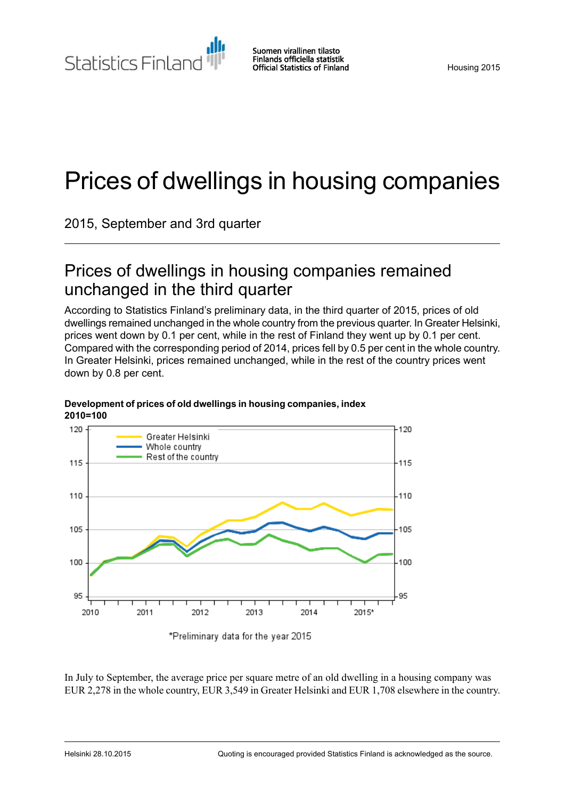Suomen virallinen tilasto Statistics Finland Finlands officiella statistik **Official Statistics of Finland** 

# Prices of dwellings in housing companies

2015, September and 3rd quarter

## Prices of dwellings in housing companies remained unchanged in the third quarter

According to Statistics Finland's preliminary data, in the third quarter of 2015, prices of old dwellings remained unchanged in the whole country from the previous quarter. In Greater Helsinki, prices went down by 0.1 per cent, while in the rest of Finland they went up by 0.1 per cent. Compared with the corresponding period of 2014, prices fell by 0.5 per cent in the whole country. In Greater Helsinki, prices remained unchanged, while in the rest of the country prices went down by 0.8 per cent.



#### **Development of prices of old dwellings in housing companies, index 2010=100**

\*Preliminary data for the year 2015

In July to September, the average price per square metre of an old dwelling in a housing company was EUR 2,278 in the whole country, EUR 3,549 in Greater Helsinki and EUR 1,708 elsewhere in the country.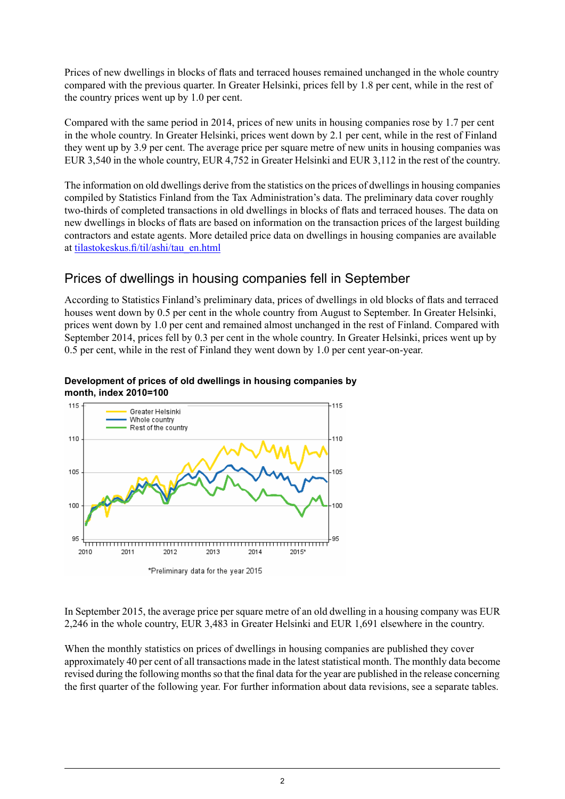Prices of new dwellings in blocks of flats and terraced houses remained unchanged in the whole country compared with the previous quarter. In Greater Helsinki, prices fell by 1.8 per cent, while in the rest of the country prices went up by 1.0 per cent.

Compared with the same period in 2014, prices of new units in housing companies rose by 1.7 per cent in the whole country. In Greater Helsinki, prices went down by 2.1 per cent, while in the rest of Finland they went up by 3.9 per cent. The average price per square metre of new units in housing companies was EUR 3,540 in the whole country, EUR 4,752 in Greater Helsinki and EUR 3,112 in the rest of the country.

The information on old dwellings derive from the statistics on the prices of dwellings in housing companies compiled by Statistics Finland from the Tax Administration's data. The preliminary data cover roughly two-thirds of completed transactions in old dwellings in blocks of flats and terraced houses. The data on new dwellings in blocks of flats are based on information on the transaction prices of the largest building contractors and estate agents. More detailed price data on dwellings in housing companies are available at [tilastokeskus.fi/til/ashi/tau\\_en.html](http://tilastokeskus.fi/til/ashi/tau_en.html)

## Prices of dwellings in housing companies fell in September

According to Statistics Finland's preliminary data, prices of dwellings in old blocks of flats and terraced houses went down by 0.5 per cent in the whole country from August to September. In Greater Helsinki, prices went down by 1.0 per cent and remained almost unchanged in the rest of Finland. Compared with September 2014, prices fell by 0.3 per cent in the whole country. In Greater Helsinki, prices went up by 0.5 per cent, while in the rest of Finland they went down by 1.0 per cent year-on-year.

#### **Development of prices of old dwellings in housing companies by month, index 2010=100**



In September 2015, the average price per square metre of an old dwelling in a housing company was EUR 2,246 in the whole country, EUR 3,483 in Greater Helsinki and EUR 1,691 elsewhere in the country.

When the monthly statistics on prices of dwellings in housing companies are published they cover approximately 40 per cent of all transactions made in the latest statistical month. The monthly data become revised during the following monthsso that the final data for the year are published in the release concerning the first quarter of the following year. For further information about data revisions, see a separate tables.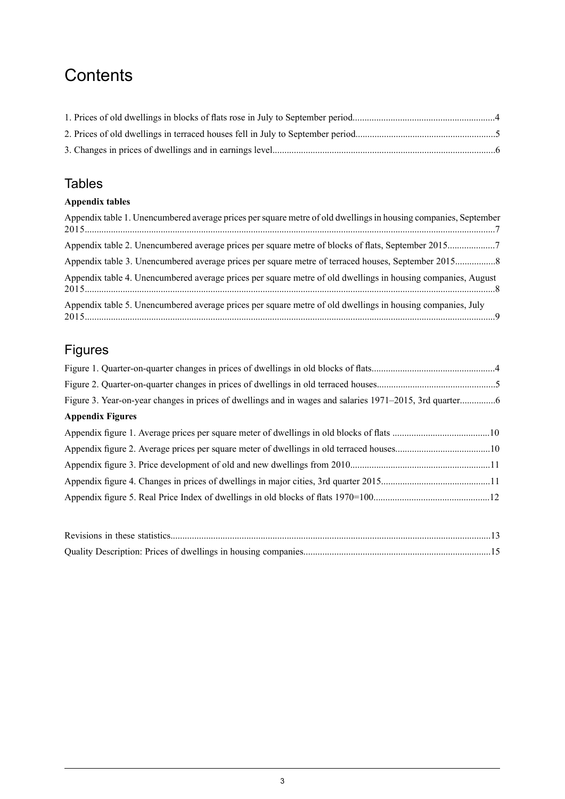## **Contents**

## **Tables**

### **Appendix tables**

| Appendix table 1. Unencumbered average prices per square metre of old dwellings in housing companies, September |
|-----------------------------------------------------------------------------------------------------------------|
| Appendix table 2. Unencumbered average prices per square metre of blocks of flats, September 20157              |
|                                                                                                                 |
| Appendix table 4. Unencumbered average prices per square metre of old dwellings in housing companies, August    |
| Appendix table 5. Unencumbered average prices per square metre of old dwellings in housing companies, July      |

## Figures

| <b>Appendix Figures</b> |  |
|-------------------------|--|
|                         |  |
|                         |  |
|                         |  |
|                         |  |
|                         |  |
|                         |  |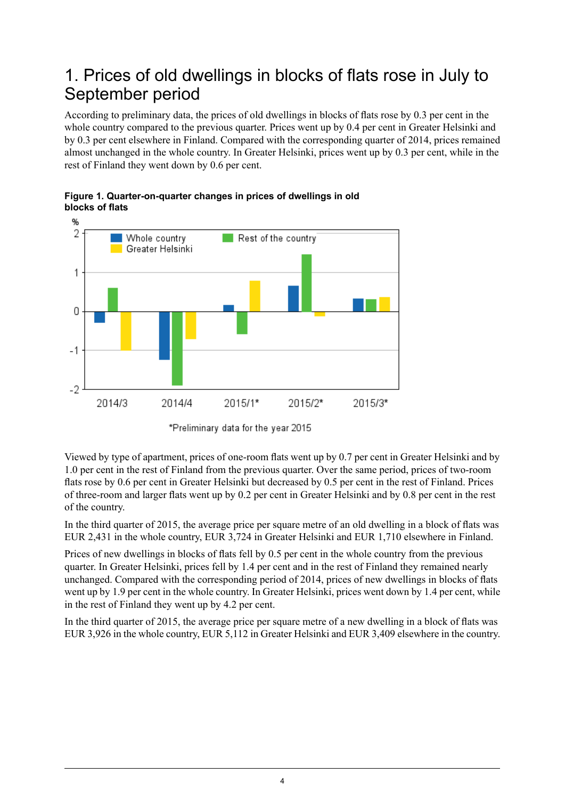## <span id="page-3-0"></span>1. Prices of old dwellings in blocks of flats rose in July to September period

According to preliminary data, the prices of old dwellings in blocks of flats rose by 0.3 per cent in the whole country compared to the previous quarter. Prices went up by 0.4 per cent in Greater Helsinki and by 0.3 per cent elsewhere in Finland. Compared with the corresponding quarter of 2014, prices remained almost unchanged in the whole country. In Greater Helsinki, prices went up by 0.3 per cent, while in the rest of Finland they went down by 0.6 per cent.



<span id="page-3-1"></span>**Figure 1. Quarter-on-quarter changes in prices of dwellings in old blocks of flats**

Viewed by type of apartment, prices of one-room flats went up by 0.7 per cent in Greater Helsinki and by 1.0 per cent in the rest of Finland from the previous quarter. Over the same period, prices of two-room flats rose by 0.6 per cent in Greater Helsinki but decreased by 0.5 per cent in the rest of Finland. Prices of three-room and larger flats went up by 0.2 per cent in Greater Helsinki and by 0.8 per cent in the rest of the country.

In the third quarter of 2015, the average price per square metre of an old dwelling in a block of flats was EUR 2,431 in the whole country, EUR 3,724 in Greater Helsinki and EUR 1,710 elsewhere in Finland.

Prices of new dwellings in blocks of flats fell by 0.5 per cent in the whole country from the previous quarter. In Greater Helsinki, prices fell by 1.4 per cent and in the rest of Finland they remained nearly unchanged. Compared with the corresponding period of 2014, prices of new dwellings in blocks of flats went up by 1.9 per cent in the whole country. In Greater Helsinki, prices went down by 1.4 per cent, while in the rest of Finland they went up by 4.2 per cent.

In the third quarter of 2015, the average price per square metre of a new dwelling in a block of flats was EUR 3,926 in the whole country, EUR 5,112 in Greater Helsinki and EUR 3,409 elsewhere in the country.

<sup>\*</sup>Preliminary data for the year 2015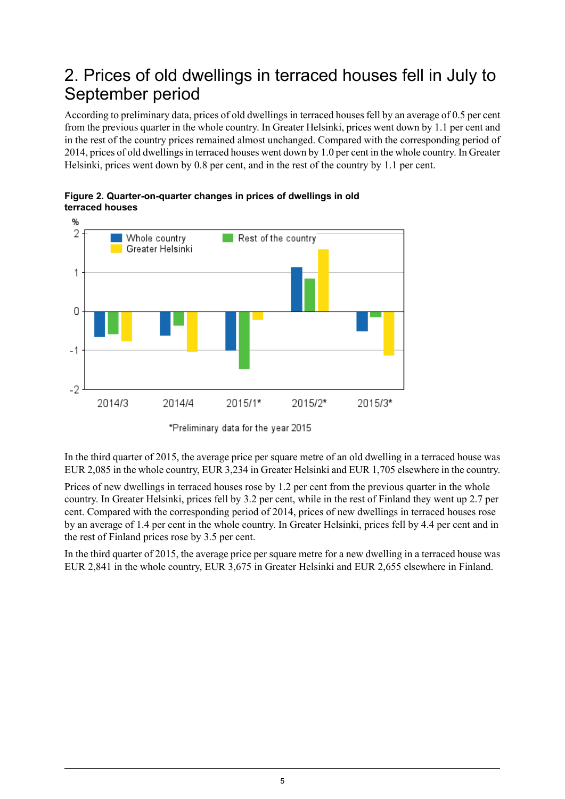## <span id="page-4-0"></span>2. Prices of old dwellings in terraced houses fell in July to September period

According to preliminary data, prices of old dwellings in terraced houses fell by an average of 0.5 per cent from the previous quarter in the whole country. In Greater Helsinki, prices went down by 1.1 per cent and in the rest of the country prices remained almost unchanged. Compared with the corresponding period of 2014, prices of old dwellings in terraced houses went down by 1.0 per cent in the whole country. In Greater Helsinki, prices went down by 0.8 per cent, and in the rest of the country by 1.1 per cent.



<span id="page-4-1"></span>**Figure 2. Quarter-on-quarter changes in prices of dwellings in old terraced houses**



In the third quarter of 2015, the average price per square metre of an old dwelling in a terraced house was EUR 2,085 in the whole country, EUR 3,234 in Greater Helsinki and EUR 1,705 elsewhere in the country.

Prices of new dwellings in terraced houses rose by 1.2 per cent from the previous quarter in the whole country. In Greater Helsinki, prices fell by 3.2 per cent, while in the rest of Finland they went up 2.7 per cent. Compared with the corresponding period of 2014, prices of new dwellings in terraced houses rose by an average of 1.4 per cent in the whole country. In Greater Helsinki, prices fell by 4.4 per cent and in the rest of Finland prices rose by 3.5 per cent.

In the third quarter of 2015, the average price per square metre for a new dwelling in a terraced house was EUR 2,841 in the whole country, EUR 3,675 in Greater Helsinki and EUR 2,655 elsewhere in Finland.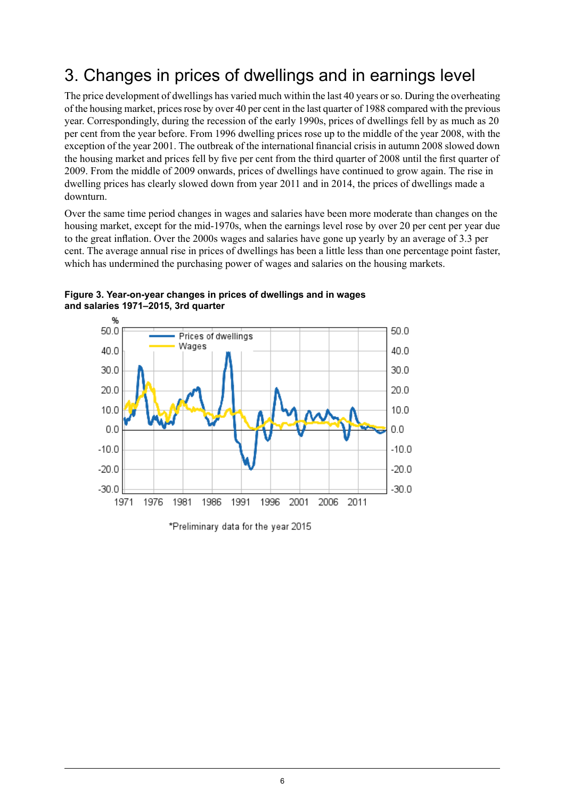## <span id="page-5-0"></span>3. Changes in prices of dwellings and in earnings level

The price development of dwellings has varied much within the last 40 years orso. During the overheating of the housing market, prices rose by over 40 per cent in the last quarter of 1988 compared with the previous year. Correspondingly, during the recession of the early 1990s, prices of dwellings fell by as much as 20 per cent from the year before. From 1996 dwelling prices rose up to the middle of the year 2008, with the exception of the year 2001. The outbreak of the international financial crisis in autumn 2008 slowed down the housing market and prices fell by five per cent from the third quarter of 2008 until the first quarter of 2009. From the middle of 2009 onwards, prices of dwellings have continued to grow again. The rise in dwelling prices has clearly slowed down from year 2011 and in 2014, the prices of dwellings made a downturn.

Over the same time period changes in wages and salaries have been more moderate than changes on the housing market, except for the mid-1970s, when the earnings level rose by over 20 per cent per year due to the great inflation. Over the 2000s wages and salaries have gone up yearly by an average of 3.3 per cent. The average annual rise in prices of dwellings has been a little less than one percentage point faster, which has undermined the purchasing power of wages and salaries on the housing markets.



<span id="page-5-1"></span>**Figure 3. Year-on-year changes in prices of dwellings and in wages and salaries 1971–2015, 3rd quarter**

%

\*Preliminary data for the year 2015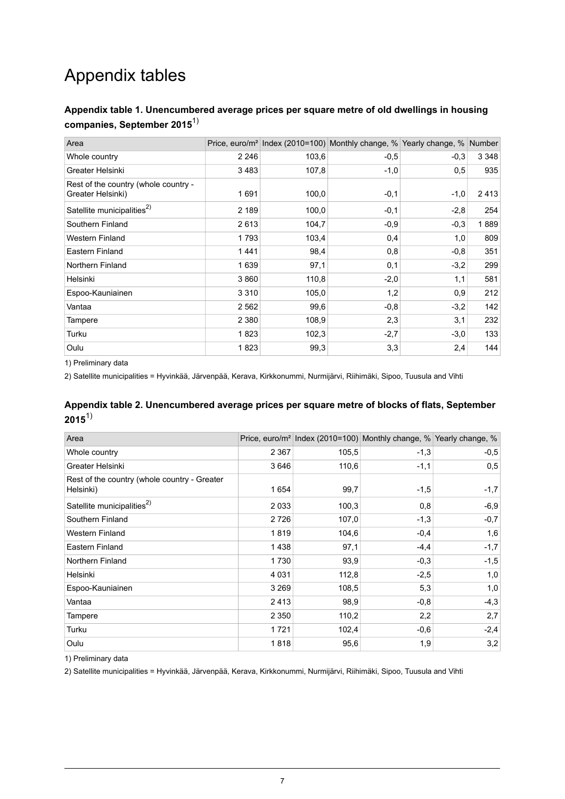## Appendix tables

## <span id="page-6-0"></span>**Appendix table 1. Unencumbered average prices per square metre of old dwellings in housing companies, September 2015**1)

| Area                                                      |         |       | Price, euro/m <sup>2</sup> Index (2010=100) Monthly change, % Yearly change, % Number |        |         |
|-----------------------------------------------------------|---------|-------|---------------------------------------------------------------------------------------|--------|---------|
| Whole country                                             | 2 2 4 6 | 103,6 | $-0.5$                                                                                | $-0.3$ | 3 3 4 8 |
| Greater Helsinki                                          | 3483    | 107,8 | $-1,0$                                                                                | 0,5    | 935     |
| Rest of the country (whole country -<br>Greater Helsinki) | 1691    | 100,0 | $-0,1$                                                                                | $-1,0$ | 2413    |
| Satellite municipalities <sup>2)</sup>                    | 2 189   | 100,0 | $-0,1$                                                                                | $-2,8$ | 254     |
| Southern Finland                                          | 2613    | 104,7 | $-0.9$                                                                                | $-0.3$ | 1889    |
| <b>Western Finland</b>                                    | 1793    | 103,4 | 0,4                                                                                   | 1,0    | 809     |
| Eastern Finland                                           | 1441    | 98,4  | 0,8                                                                                   | $-0.8$ | 351     |
| Northern Finland                                          | 1639    | 97,1  | 0,1                                                                                   | $-3,2$ | 299     |
| Helsinki                                                  | 3860    | 110,8 | $-2,0$                                                                                | 1,1    | 581     |
| Espoo-Kauniainen                                          | 3 3 1 0 | 105,0 | 1,2                                                                                   | 0,9    | 212     |
| Vantaa                                                    | 2562    | 99,6  | $-0,8$                                                                                | $-3,2$ | 142     |
| Tampere                                                   | 2 3 8 0 | 108,9 | 2,3                                                                                   | 3,1    | 232     |
| Turku                                                     | 1823    | 102,3 | $-2,7$                                                                                | $-3,0$ | 133     |
| Oulu                                                      | 1823    | 99,3  | 3,3                                                                                   | 2,4    | 144     |

<span id="page-6-1"></span>1) Preliminary data

2) Satellite municipalities = Hyvinkää, Järvenpää, Kerava, Kirkkonummi, Nurmijärvi, Riihimäki, Sipoo, Tuusula and Vihti

#### **Appendix table 2. Unencumbered average prices per square metre of blocks of flats, September 2015**1)

| Area                                                      |         |       | Price, euro/m <sup>2</sup> Index (2010=100) Monthly change, % Yearly change, % |        |
|-----------------------------------------------------------|---------|-------|--------------------------------------------------------------------------------|--------|
| Whole country                                             | 2 3 6 7 | 105,5 | $-1,3$                                                                         | $-0,5$ |
| Greater Helsinki                                          | 3646    | 110,6 | $-1,1$                                                                         | 0,5    |
| Rest of the country (whole country - Greater<br>Helsinki) | 1 654   | 99,7  | $-1,5$                                                                         | $-1,7$ |
| Satellite municipalities <sup>2)</sup>                    | 2 0 3 3 | 100,3 | 0,8                                                                            | $-6,9$ |
| Southern Finland                                          | 2 7 2 6 | 107,0 | $-1,3$                                                                         | $-0,7$ |
| <b>Western Finland</b>                                    | 1819    | 104,6 | $-0,4$                                                                         | 1,6    |
| Eastern Finland                                           | 1438    | 97,1  | $-4,4$                                                                         | $-1,7$ |
| Northern Finland                                          | 1730    | 93,9  | $-0.3$                                                                         | $-1,5$ |
| Helsinki                                                  | 4 0 3 1 | 112,8 | $-2,5$                                                                         | 1,0    |
| Espoo-Kauniainen                                          | 3 2 6 9 | 108,5 | 5,3                                                                            | 1,0    |
| Vantaa                                                    | 2413    | 98,9  | $-0.8$                                                                         | $-4,3$ |
| Tampere                                                   | 2 3 5 0 | 110,2 | 2,2                                                                            | 2,7    |
| Turku                                                     | 1721    | 102,4 | $-0.6$                                                                         | $-2,4$ |
| Oulu                                                      | 1818    | 95,6  | 1,9                                                                            | 3,2    |

1) Preliminary data

2) Satellite municipalities = Hyvinkää, Järvenpää, Kerava, Kirkkonummi, Nurmijärvi, Riihimäki, Sipoo, Tuusula and Vihti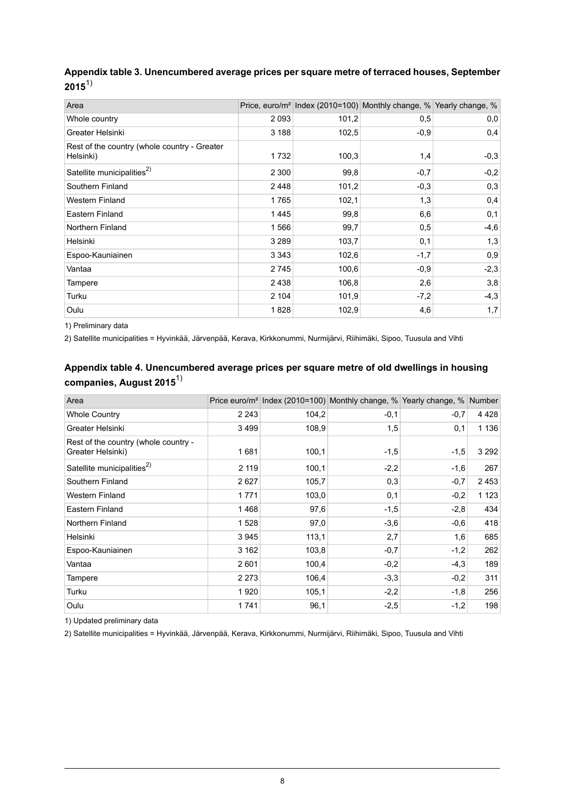<span id="page-7-0"></span>

| Appendix table 3. Unencumbered average prices per square metre of terraced houses, September |  |
|----------------------------------------------------------------------------------------------|--|
| $2015^{1}$                                                                                   |  |

| Area                                                      |         |       | Price, euro/m <sup>2</sup> Index (2010=100) Monthly change, % Yearly change, % |        |
|-----------------------------------------------------------|---------|-------|--------------------------------------------------------------------------------|--------|
| Whole country                                             | 2 0 9 3 | 101,2 | 0,5                                                                            | 0,0    |
| Greater Helsinki                                          | 3 188   | 102,5 | $-0.9$                                                                         | 0,4    |
| Rest of the country (whole country - Greater<br>Helsinki) | 1732    | 100,3 | 1,4                                                                            | $-0,3$ |
| Satellite municipalities <sup>2)</sup>                    | 2 3 0 0 | 99,8  | $-0,7$                                                                         | $-0,2$ |
| Southern Finland                                          | 2448    | 101,2 | $-0.3$                                                                         | 0,3    |
| <b>Western Finland</b>                                    | 1765    | 102.1 | 1,3                                                                            | 0,4    |
| Eastern Finland                                           | 1445    | 99,8  | 6,6                                                                            | 0,1    |
| Northern Finland                                          | 1566    | 99,7  | 0,5                                                                            | $-4,6$ |
| Helsinki                                                  | 3 2 8 9 | 103,7 | 0,1                                                                            | 1,3    |
| Espoo-Kauniainen                                          | 3 3 4 3 | 102,6 | $-1,7$                                                                         | 0,9    |
| Vantaa                                                    | 2745    | 100,6 | $-0.9$                                                                         | $-2,3$ |
| Tampere                                                   | 2 4 3 8 | 106,8 | 2,6                                                                            | 3,8    |
| Turku                                                     | 2 104   | 101,9 | $-7,2$                                                                         | $-4,3$ |
| Oulu                                                      | 1828    | 102,9 | 4,6                                                                            | 1,7    |

<span id="page-7-1"></span>1) Preliminary data

2) Satellite municipalities = Hyvinkää, Järvenpää, Kerava, Kirkkonummi, Nurmijärvi, Riihimäki, Sipoo, Tuusula and Vihti

## **Appendix table 4. Unencumbered average prices per square metre of old dwellings in housing companies, August 2015**1)

| Area                                                      |         |       | Price euro/m <sup>2</sup> Index (2010=100) Monthly change, % Yearly change, % Number |        |         |
|-----------------------------------------------------------|---------|-------|--------------------------------------------------------------------------------------|--------|---------|
| <b>Whole Country</b>                                      | 2 2 4 3 | 104,2 | $-0,1$                                                                               | $-0,7$ | 4428    |
| Greater Helsinki                                          | 3499    | 108,9 | 1,5                                                                                  | 0,1    | 1 1 3 6 |
| Rest of the country (whole country -<br>Greater Helsinki) | 1681    | 100,1 | $-1,5$                                                                               | $-1,5$ | 3 2 9 2 |
| Satellite municipalities <sup>2)</sup>                    | 2 1 1 9 | 100,1 | $-2,2$                                                                               | $-1,6$ | 267     |
| Southern Finland                                          | 2627    | 105,7 | 0,3                                                                                  | $-0,7$ | 2453    |
| Western Finland                                           | 1771    | 103,0 | 0,1                                                                                  | $-0,2$ | 1 1 2 3 |
| Eastern Finland                                           | 1468    | 97,6  | $-1,5$                                                                               | $-2,8$ | 434     |
| Northern Finland                                          | 1528    | 97,0  | $-3,6$                                                                               | $-0.6$ | 418     |
| Helsinki                                                  | 3945    | 113,1 | 2,7                                                                                  | 1,6    | 685     |
| Espoo-Kauniainen                                          | 3 1 6 2 | 103,8 | $-0.7$                                                                               | $-1,2$ | 262     |
| Vantaa                                                    | 2601    | 100,4 | $-0,2$                                                                               | $-4,3$ | 189     |
| Tampere                                                   | 2 2 7 3 | 106,4 | $-3,3$                                                                               | $-0,2$ | 311     |
| Turku                                                     | 1920    | 105,1 | $-2,2$                                                                               | $-1,8$ | 256     |
| Oulu                                                      | 1741    | 96,1  | $-2,5$                                                                               | $-1,2$ | 198     |

1) Updated preliminary data

2) Satellite municipalities = Hyvinkää, Järvenpää, Kerava, Kirkkonummi, Nurmijärvi, Riihimäki, Sipoo, Tuusula and Vihti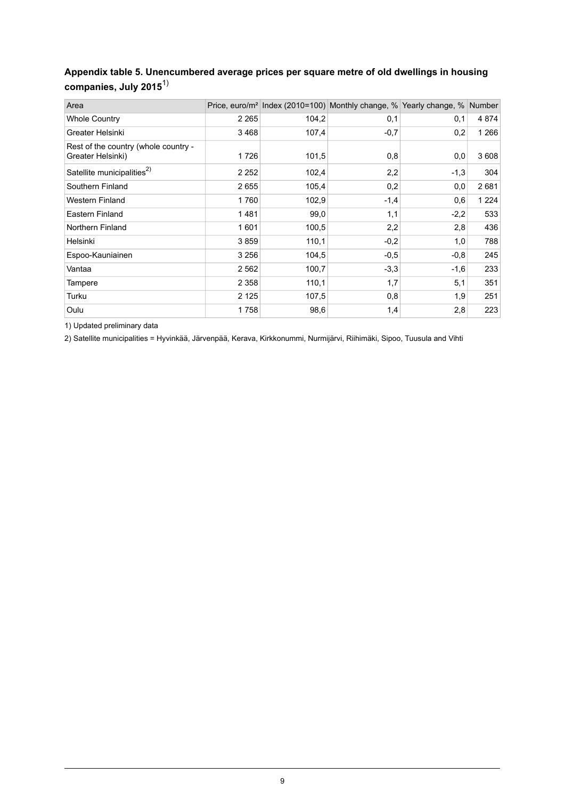## <span id="page-8-0"></span>**Appendix table 5. Unencumbered average prices per square metre of old dwellings in housing companies, July 2015**1)

| Area                                                      |         |       | Price, euro/m <sup>2</sup> Index (2010=100) Monthly change, % Yearly change, % Number |        |         |
|-----------------------------------------------------------|---------|-------|---------------------------------------------------------------------------------------|--------|---------|
| <b>Whole Country</b>                                      | 2 2 6 5 | 104,2 | 0,1                                                                                   | 0,1    | 4 8 7 4 |
| Greater Helsinki                                          | 3468    | 107,4 | $-0.7$                                                                                | 0,2    | 1 266   |
| Rest of the country (whole country -<br>Greater Helsinki) | 1726    | 101,5 | 0,8                                                                                   | 0,0    | 3608    |
| Satellite municipalities <sup>2)</sup>                    | 2 2 5 2 | 102,4 | 2,2                                                                                   | $-1,3$ | 304     |
| Southern Finland                                          | 2655    | 105,4 | 0,2                                                                                   | 0,0    | 2681    |
| <b>Western Finland</b>                                    | 1760    | 102,9 | $-1,4$                                                                                | 0,6    | 1 2 2 4 |
| Eastern Finland                                           | 1481    | 99,0  | 1,1                                                                                   | $-2,2$ | 533     |
| Northern Finland                                          | 1601    | 100,5 | 2,2                                                                                   | 2,8    | 436     |
| Helsinki                                                  | 3859    | 110,1 | $-0,2$                                                                                | 1,0    | 788     |
| Espoo-Kauniainen                                          | 3 2 5 6 | 104,5 | $-0,5$                                                                                | $-0,8$ | 245     |
| Vantaa                                                    | 2 5 6 2 | 100,7 | $-3,3$                                                                                | $-1,6$ | 233     |
| Tampere                                                   | 2 3 5 8 | 110,1 | 1,7                                                                                   | 5,1    | 351     |
| Turku                                                     | 2 1 2 5 | 107,5 | 0,8                                                                                   | 1,9    | 251     |
| Oulu                                                      | 1758    | 98,6  | 1,4                                                                                   | 2,8    | 223     |

1) Updated preliminary data

2) Satellite municipalities = Hyvinkää, Järvenpää, Kerava, Kirkkonummi, Nurmijärvi, Riihimäki, Sipoo, Tuusula and Vihti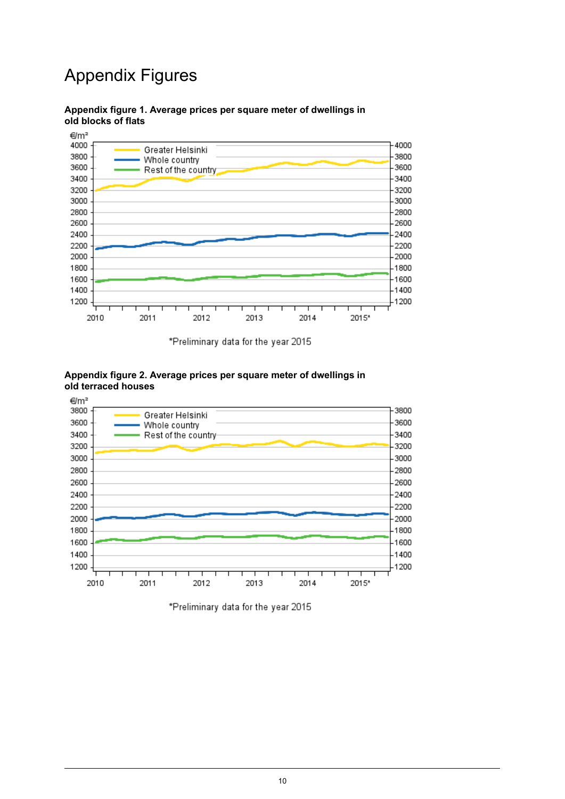## Appendix Figures



### <span id="page-9-0"></span>**Appendix figure 1. Average prices per square meter of dwellings in old blocks of flats**

\*Preliminary data for the year 2015



#### <span id="page-9-1"></span>**Appendix figure 2. Average prices per square meter of dwellings in old terraced houses**

\*Preliminary data for the year 2015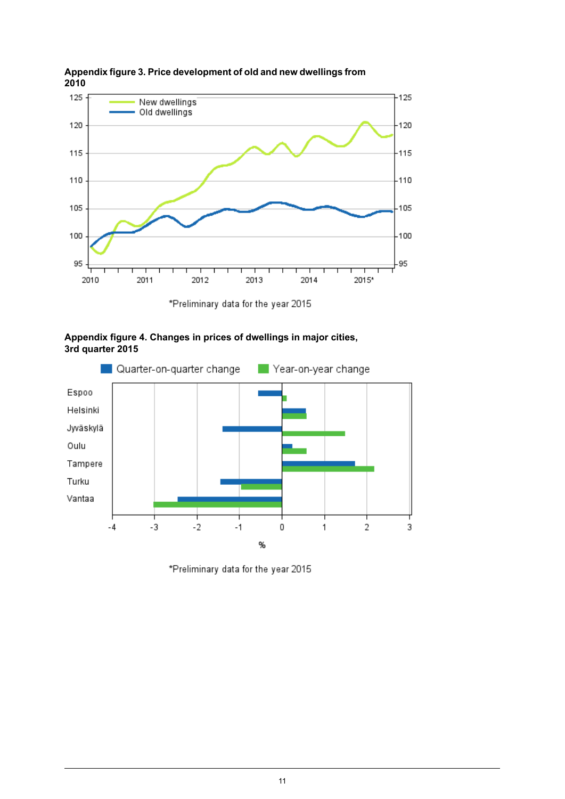

<span id="page-10-0"></span>**Appendixfigure3. Price development of old and new dwellingsfrom 2010**

\*Preliminary data for the year 2015

<span id="page-10-1"></span>



\*Preliminary data for the year 2015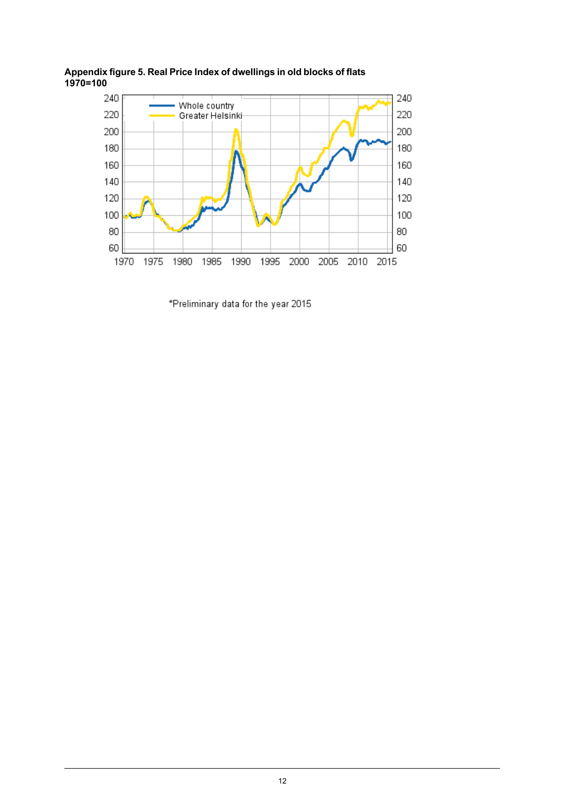

<span id="page-11-0"></span>**Appendix figure 5. Real Price Index of dwellings in old blocks of flats 1970=100**

\*Preliminary data for the year 2015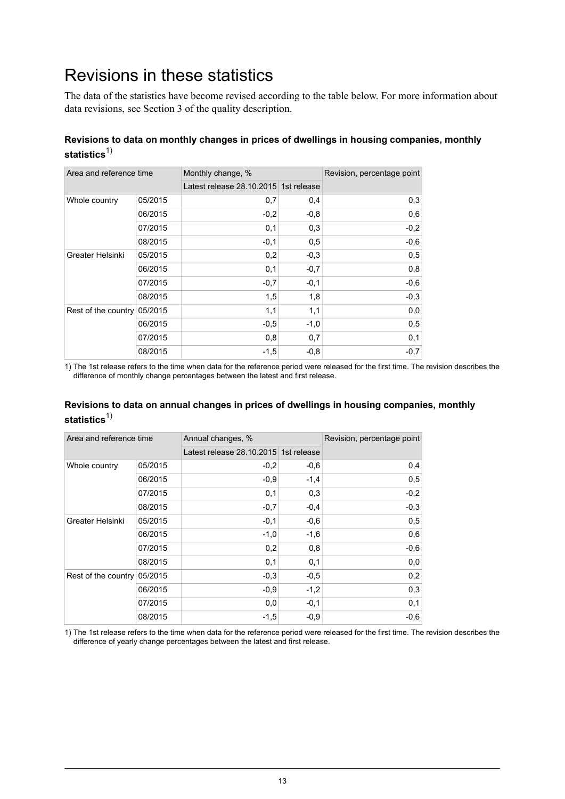## <span id="page-12-0"></span>Revisions in these statistics

The data of the statistics have become revised according to the table below. For more information about data revisions, see Section 3 of the quality description.

### **Revisions to data on monthly changes in prices of dwellings in housing companies, monthly** statistics<sup>1)</sup>

| Area and reference time     |         | Monthly change, %                     |        | Revision, percentage point |
|-----------------------------|---------|---------------------------------------|--------|----------------------------|
|                             |         | Latest release 28.10.2015 1st release |        |                            |
| Whole country               | 05/2015 | 0,7                                   | 0,4    | 0,3                        |
|                             | 06/2015 | $-0,2$                                | $-0,8$ | 0,6                        |
|                             | 07/2015 | 0,1                                   | 0,3    | $-0,2$                     |
|                             | 08/2015 | $-0,1$                                | 0,5    | $-0,6$                     |
| Greater Helsinki            | 05/2015 | 0,2                                   | $-0,3$ | 0,5                        |
|                             | 06/2015 | 0,1                                   | $-0,7$ | 0,8                        |
|                             | 07/2015 | $-0,7$                                | $-0,1$ | $-0,6$                     |
|                             | 08/2015 | 1,5                                   | 1,8    | $-0,3$                     |
| Rest of the country 05/2015 |         | 1,1                                   | 1,1    | 0,0                        |
|                             | 06/2015 | $-0,5$                                | $-1,0$ | 0,5                        |
|                             | 07/2015 | 0,8                                   | 0,7    | 0,1                        |
|                             | 08/2015 | $-1,5$                                | $-0,8$ | $-0,7$                     |

1) The 1st release refers to the time when data for the reference period were released for the first time. The revision describes the difference of monthly change percentages between the latest and first release.

### **Revisions to data on annual changes in prices of dwellings in housing companies, monthly** statistics<sup>1)</sup>

| Area and reference time     |         | Annual changes, %                     |        | Revision, percentage point |
|-----------------------------|---------|---------------------------------------|--------|----------------------------|
|                             |         | Latest release 28.10.2015 1st release |        |                            |
| Whole country               | 05/2015 | $-0,2$                                | $-0,6$ | 0,4                        |
|                             | 06/2015 | $-0.9$                                | $-1,4$ | 0,5                        |
|                             | 07/2015 | 0,1                                   | 0,3    | $-0,2$                     |
|                             | 08/2015 | $-0,7$                                | $-0,4$ | $-0,3$                     |
| Greater Helsinki            | 05/2015 | $-0,1$                                | $-0,6$ | 0,5                        |
|                             | 06/2015 | $-1,0$                                | $-1,6$ | 0,6                        |
|                             | 07/2015 | 0,2                                   | 0,8    | $-0,6$                     |
|                             | 08/2015 | 0,1                                   | 0,1    | 0,0                        |
| Rest of the country 05/2015 |         | $-0.3$                                | $-0,5$ | 0,2                        |
|                             | 06/2015 | $-0,9$                                | $-1,2$ | 0,3                        |
|                             | 07/2015 | 0,0                                   | $-0,1$ | 0,1                        |
|                             | 08/2015 | $-1,5$                                | $-0.9$ | $-0,6$                     |

1) The 1st release refers to the time when data for the reference period were released for the first time. The revision describes the difference of yearly change percentages between the latest and first release.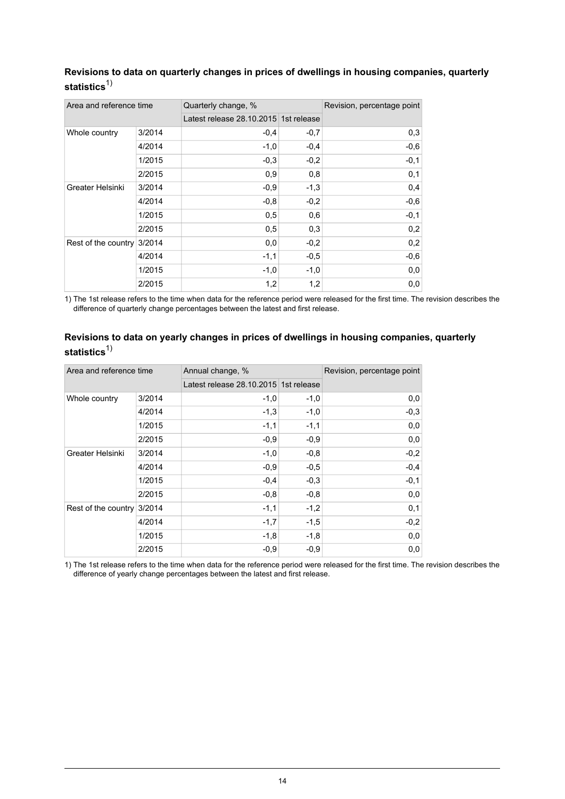| Area and reference time |        | Quarterly change, %                   |        | Revision, percentage point |
|-------------------------|--------|---------------------------------------|--------|----------------------------|
|                         |        | Latest release 28.10.2015 1st release |        |                            |
| Whole country           | 3/2014 | $-0.4$                                | $-0,7$ | 0,3                        |
|                         | 4/2014 | $-1,0$                                | $-0,4$ | $-0,6$                     |
|                         | 1/2015 | $-0.3$                                | $-0,2$ | $-0,1$                     |
|                         | 2/2015 | 0,9                                   | 0,8    | 0,1                        |
| Greater Helsinki        | 3/2014 | $-0.9$                                | $-1,3$ | 0,4                        |
|                         | 4/2014 | $-0.8$                                | $-0,2$ | $-0,6$                     |
|                         | 1/2015 | 0,5                                   | 0,6    | $-0,1$                     |
|                         | 2/2015 | 0,5                                   | 0,3    | 0,2                        |
| Rest of the country     | 3/2014 | 0,0                                   | $-0,2$ | 0,2                        |
|                         | 4/2014 | $-1,1$                                | $-0.5$ | $-0,6$                     |
|                         | 1/2015 | $-1,0$                                | $-1,0$ | 0,0                        |
|                         | 2/2015 | 1,2                                   | 1,2    | 0,0                        |

### **Revisions to data on quarterly changes in prices of dwellings in housing companies, quarterly** statistics<sup>1)</sup>

1) The 1st release refers to the time when data for the reference period were released for the first time. The revision describes the difference of quarterly change percentages between the latest and first release.

| Area and reference time    |        | Annual change, %                      |        | Revision, percentage point |
|----------------------------|--------|---------------------------------------|--------|----------------------------|
|                            |        | Latest release 28.10.2015 1st release |        |                            |
| Whole country              | 3/2014 | $-1,0$                                | $-1,0$ | 0,0                        |
|                            | 4/2014 | $-1,3$                                | $-1,0$ | $-0,3$                     |
|                            | 1/2015 | $-1,1$                                | $-1,1$ | 0,0                        |
|                            | 2/2015 | $-0,9$                                | $-0,9$ | 0,0                        |
| Greater Helsinki           | 3/2014 | $-1,0$                                | $-0,8$ | $-0,2$                     |
|                            | 4/2014 | $-0,9$                                | $-0,5$ | $-0,4$                     |
|                            | 1/2015 | $-0,4$                                | $-0,3$ | $-0,1$                     |
|                            | 2/2015 | $-0,8$                                | $-0,8$ | 0,0                        |
| Rest of the country 3/2014 |        | $-1,1$                                | $-1,2$ | 0,1                        |
|                            | 4/2014 | $-1,7$                                | $-1,5$ | $-0,2$                     |
|                            | 1/2015 | $-1,8$                                | $-1,8$ | 0,0                        |
|                            | 2/2015 | $-0,9$                                | $-0,9$ | 0,0                        |

#### **Revisions to data on yearly changes in prices of dwellings in housing companies, quarterly** statistics<sup>1)</sup>

1) The 1st release refers to the time when data for the reference period were released for the first time. The revision describes the difference of yearly change percentages between the latest and first release.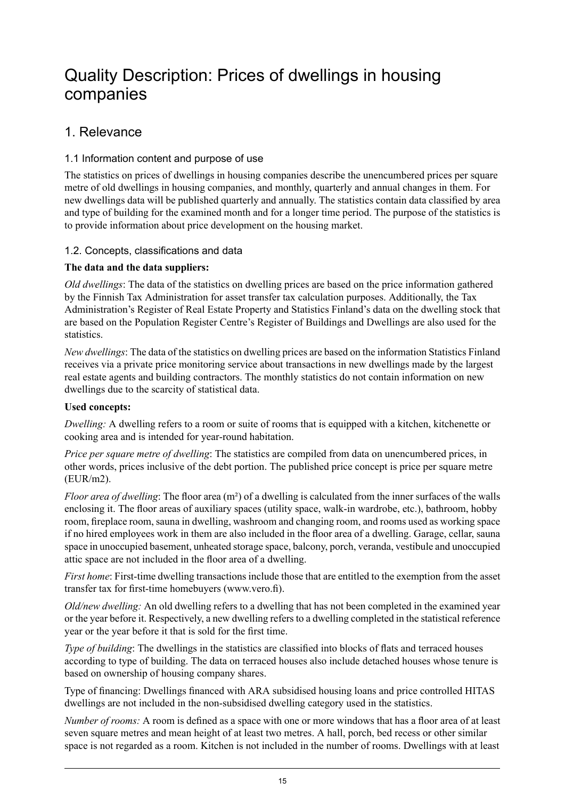## <span id="page-14-0"></span>Quality Description: Prices of dwellings in housing companies

## 1. Relevance

## 1.1 Information content and purpose of use

The statistics on prices of dwellings in housing companies describe the unencumbered prices per square metre of old dwellings in housing companies, and monthly, quarterly and annual changes in them. For new dwellings data will be published quarterly and annually. The statistics contain data classified by area and type of building for the examined month and for a longer time period. The purpose of the statistics is to provide information about price development on the housing market.

### 1.2. Concepts, classifications and data

## **The data and the data suppliers:**

*Old dwellings*: The data of the statistics on dwelling prices are based on the price information gathered by the Finnish Tax Administration for asset transfer tax calculation purposes. Additionally, the Tax Administration's Register of Real Estate Property and Statistics Finland's data on the dwelling stock that are based on the Population Register Centre's Register of Buildings and Dwellings are also used for the **statistics** 

*New dwellings*: The data of the statistics on dwelling prices are based on the information Statistics Finland receives via a private price monitoring service about transactions in new dwellings made by the largest real estate agents and building contractors. The monthly statistics do not contain information on new dwellings due to the scarcity of statistical data.

### **Used concepts:**

*Dwelling:* A dwelling refers to a room or suite of rooms that is equipped with a kitchen, kitchenette or cooking area and is intended for year-round habitation.

*Price per square metre of dwelling*: The statistics are compiled from data on unencumbered prices, in other words, prices inclusive of the debt portion. The published price concept is price per square metre (EUR/m2).

*Floor area of dwelling*: The floor area (m²) of a dwelling is calculated from the inner surfaces of the walls enclosing it. The floor areas of auxiliary spaces (utility space, walk-in wardrobe, etc.), bathroom, hobby room, fireplace room, sauna in dwelling, washroom and changing room, and rooms used as working space if no hired employees work in them are also included in the floor area of a dwelling. Garage, cellar, sauna space in unoccupied basement, unheated storage space, balcony, porch, veranda, vestibule and unoccupied attic space are not included in the floor area of a dwelling.

*First home*: First-time dwelling transactions include those that are entitled to the exemption from the asset transfer tax for first-time homebuyers (www.vero.fi).

*Old/new dwelling:* An old dwelling refers to a dwelling that has not been completed in the examined year or the year before it. Respectively, a new dwelling refers to a dwelling completed in the statistical reference year or the year before it that is sold for the first time.

*Type of building*: The dwellings in the statistics are classified into blocks of flats and terraced houses according to type of building. The data on terraced houses also include detached houses whose tenure is based on ownership of housing company shares.

Type of financing: Dwellings financed with ARA subsidised housing loans and price controlled HITAS dwellings are not included in the non-subsidised dwelling category used in the statistics.

*Number of rooms:* A room is defined as a space with one or more windows that has a floor area of at least seven square metres and mean height of at least two metres. A hall, porch, bed recess or other similar space is not regarded as a room. Kitchen is not included in the number of rooms. Dwellings with at least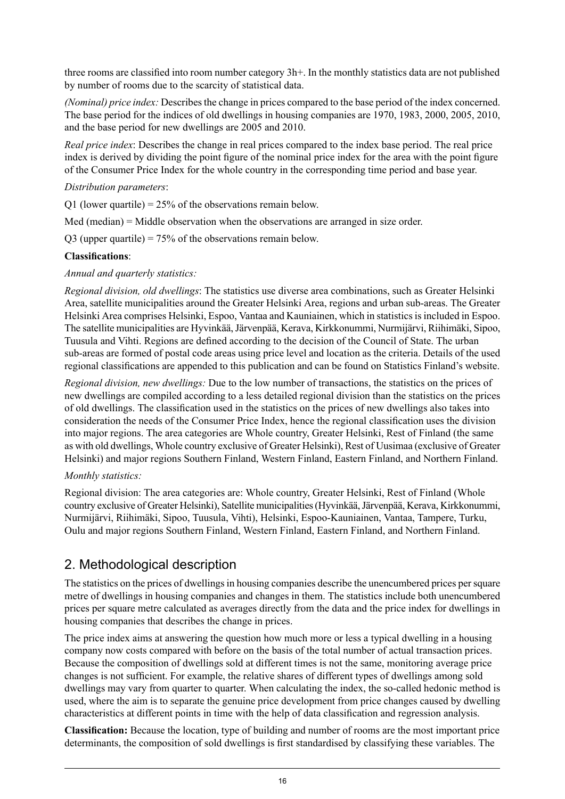three rooms are classified into room number category 3h+. In the monthly statistics data are not published by number of rooms due to the scarcity of statistical data.

*(Nominal) price index:* Describesthe change in prices compared to the base period of the index concerned. The base period for the indices of old dwellings in housing companies are 1970, 1983, 2000, 2005, 2010, and the base period for new dwellings are 2005 and 2010.

*Real price index*: Describes the change in real prices compared to the index base period. The real price index is derived by dividing the point figure of the nominal price index for the area with the point figure of the Consumer Price Index for the whole country in the corresponding time period and base year.

#### *Distribution parameters*:

Q1 (lower quartile) =  $25\%$  of the observations remain below.

Med (median)  $=$  Middle observation when the observations are arranged in size order.

Q3 (upper quartile) = 75% of the observations remain below.

### **Classifications**:

### *Annual and quarterly statistics:*

*Regional division, old dwellings*: The statistics use diverse area combinations, such as Greater Helsinki Area, satellite municipalities around the Greater Helsinki Area, regions and urban sub-areas. The Greater Helsinki Area comprises Helsinki, Espoo, Vantaa and Kauniainen, which in statistics is included in Espoo. The satellite municipalities are Hyvinkää, Järvenpää, Kerava, Kirkkonummi, Nurmijärvi, Riihimäki, Sipoo, Tuusula and Vihti. Regions are defined according to the decision of the Council of State. The urban sub-areas are formed of postal code areas using price level and location as the criteria. Details of the used regional classifications are appended to this publication and can be found on Statistics Finland's website.

*Regional division, new dwellings:* Due to the low number of transactions, the statistics on the prices of new dwellings are compiled according to a less detailed regional division than the statistics on the prices of old dwellings. The classification used in the statistics on the prices of new dwellings also takes into consideration the needs of the Consumer Price Index, hence the regional classification uses the division into major regions. The area categories are Whole country, Greater Helsinki, Rest of Finland (the same as with old dwellings, Whole country exclusive of Greater Helsinki), Rest of Uusimaa (exclusive of Greater Helsinki) and major regions Southern Finland, Western Finland, Eastern Finland, and Northern Finland.

#### *Monthly statistics:*

Regional division: The area categories are: Whole country, Greater Helsinki, Rest of Finland (Whole country exclusive of Greater Helsinki), Satellite municipalities(Hyvinkää,Järvenpää, Kerava, Kirkkonummi, Nurmijärvi, Riihimäki, Sipoo, Tuusula, Vihti), Helsinki, Espoo-Kauniainen, Vantaa, Tampere, Turku, Oulu and major regions Southern Finland, Western Finland, Eastern Finland, and Northern Finland.

## 2. Methodological description

The statistics on the prices of dwellings in housing companies describe the unencumbered prices per square metre of dwellings in housing companies and changes in them. The statistics include both unencumbered prices per square metre calculated as averages directly from the data and the price index for dwellings in housing companies that describes the change in prices.

The price index aims at answering the question how much more or less a typical dwelling in a housing company now costs compared with before on the basis of the total number of actual transaction prices. Because the composition of dwellings sold at different times is not the same, monitoring average price changes is not sufficient. For example, the relative shares of different types of dwellings among sold dwellings may vary from quarter to quarter. When calculating the index, the so-called hedonic method is used, where the aim is to separate the genuine price development from price changes caused by dwelling characteristics at different points in time with the help of data classification and regression analysis.

**Classification:** Because the location, type of building and number of rooms are the most important price determinants, the composition of sold dwellings is first standardised by classifying these variables. The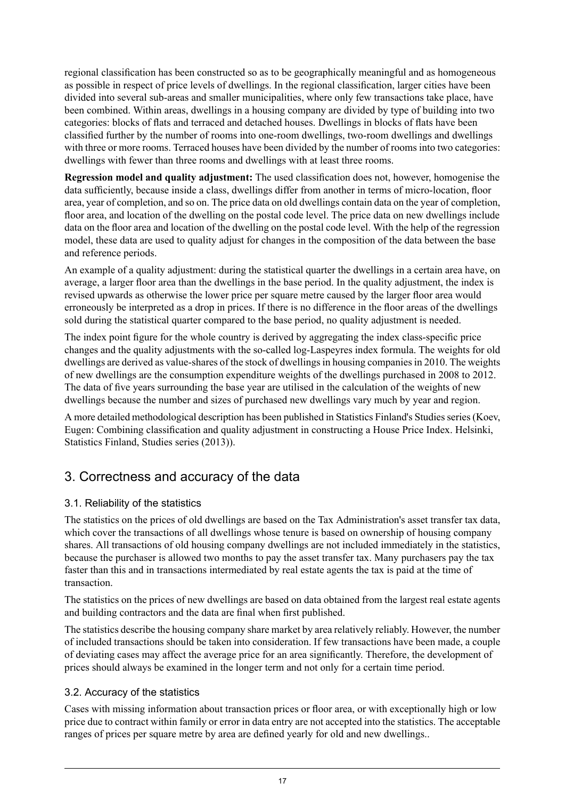regional classification has been constructed so as to be geographically meaningful and as homogeneous as possible in respect of price levels of dwellings. In the regional classification, larger cities have been divided into several sub-areas and smaller municipalities, where only few transactions take place, have been combined. Within areas, dwellings in a housing company are divided by type of building into two categories: blocks of flats and terraced and detached houses. Dwellings in blocks of flats have been classified further by the number of rooms into one-room dwellings, two-room dwellings and dwellings with three or more rooms. Terraced houses have been divided by the number of rooms into two categories: dwellings with fewer than three rooms and dwellings with at least three rooms.

**Regression model and quality adjustment:** The used classification does not, however, homogenise the data sufficiently, because inside a class, dwellings differ from another in terms of micro-location, floor area, year of completion, and so on. The price data on old dwellings contain data on the year of completion, floor area, and location of the dwelling on the postal code level. The price data on new dwellings include data on the floor area and location of the dwelling on the postal code level. With the help of the regression model, these data are used to quality adjust for changes in the composition of the data between the base and reference periods.

An example of a quality adjustment: during the statistical quarter the dwellings in a certain area have, on average, a larger floor area than the dwellings in the base period. In the quality adjustment, the index is revised upwards as otherwise the lower price per square metre caused by the larger floor area would erroneously be interpreted as a drop in prices. If there is no difference in the floor areas of the dwellings sold during the statistical quarter compared to the base period, no quality adjustment is needed.

The index point figure for the whole country is derived by aggregating the index class-specific price changes and the quality adjustments with the so-called log-Laspeyres index formula. The weights for old dwellings are derived as value-shares of the stock of dwellings in housing companies in 2010. The weights of new dwellings are the consumption expenditure weights of the dwellings purchased in 2008 to 2012. The data of five years surrounding the base year are utilised in the calculation of the weights of new dwellings because the number and sizes of purchased new dwellings vary much by year and region.

A more detailed methodological description has been published in Statistics Finland's Studies series (Koev, Eugen: Combining classification and quality adjustment in constructing a House Price Index. Helsinki, Statistics Finland, Studies series (2013)).

## 3. Correctness and accuracy of the data

## 3.1. Reliability of the statistics

The statistics on the prices of old dwellings are based on the Tax Administration's asset transfer tax data, which cover the transactions of all dwellings whose tenure is based on ownership of housing company shares. All transactions of old housing company dwellings are not included immediately in the statistics, because the purchaser is allowed two months to pay the asset transfer tax. Many purchasers pay the tax faster than this and in transactions intermediated by real estate agents the tax is paid at the time of transaction.

The statistics on the prices of new dwellings are based on data obtained from the largest real estate agents and building contractors and the data are final when first published.

The statistics describe the housing company share market by area relatively reliably. However, the number of included transactions should be taken into consideration. If few transactions have been made, a couple of deviating cases may affect the average price for an area significantly. Therefore, the development of prices should always be examined in the longer term and not only for a certain time period.

### 3.2. Accuracy of the statistics

Cases with missing information about transaction prices or floor area, or with exceptionally high or low price due to contract within family or error in data entry are not accepted into the statistics. The acceptable ranges of prices per square metre by area are defined yearly for old and new dwellings..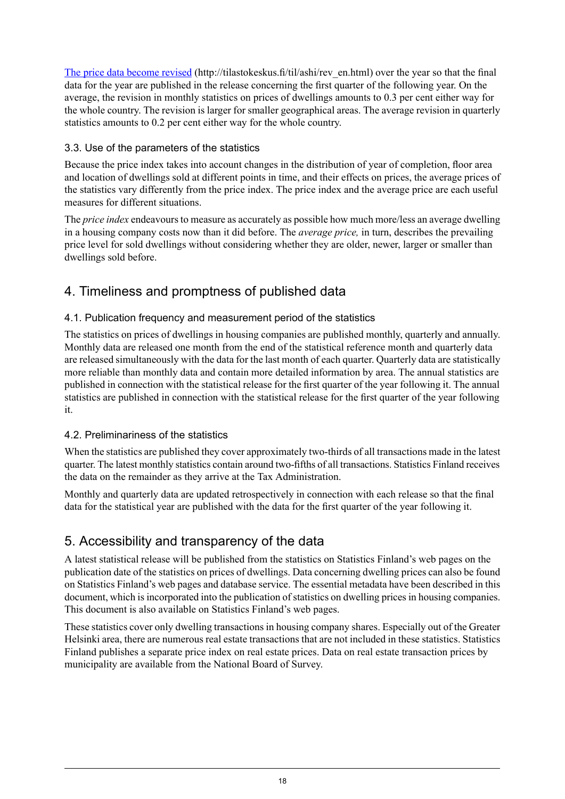The price data [become](http://tilastokeskus.fi/til/ashi/rev_en.html) revised (http://tilastokeskus.fi/til/ashi/rev\_en.html) over the year so that the final data for the year are published in the release concerning the first quarter of the following year. On the average, the revision in monthly statistics on prices of dwellings amounts to 0.3 per cent either way for the whole country. The revision is larger for smaller geographical areas. The average revision in quarterly statistics amounts to 0.2 per cent either way for the whole country.

## 3.3. Use of the parameters of the statistics

Because the price index takes into account changes in the distribution of year of completion, floor area and location of dwellings sold at different points in time, and their effects on prices, the average prices of the statistics vary differently from the price index. The price index and the average price are each useful measures for different situations.

The *price index* endeavours to measure as accurately as possible how much more/less an average dwelling in a housing company costs now than it did before. The *average price,* in turn, describes the prevailing price level for sold dwellings without considering whether they are older, newer, larger or smaller than dwellings sold before.

## 4. Timeliness and promptness of published data

## 4.1. Publication frequency and measurement period of the statistics

The statistics on prices of dwellings in housing companies are published monthly, quarterly and annually. Monthly data are released one month from the end of the statistical reference month and quarterly data are released simultaneously with the data for the last month of each quarter. Quarterly data are statistically more reliable than monthly data and contain more detailed information by area. The annual statistics are published in connection with the statistical release for the first quarter of the year following it. The annual statistics are published in connection with the statistical release for the first quarter of the year following it.

### 4.2. Preliminariness of the statistics

When the statistics are published they cover approximately two-thirds of all transactions made in the latest quarter. The latest monthly statistics contain around two-fifths of all transactions. Statistics Finland receives the data on the remainder as they arrive at the Tax Administration.

Monthly and quarterly data are updated retrospectively in connection with each release so that the final data for the statistical year are published with the data for the first quarter of the year following it.

## 5. Accessibility and transparency of the data

A latest statistical release will be published from the statistics on Statistics Finland's web pages on the publication date of the statistics on prices of dwellings. Data concerning dwelling prices can also be found on Statistics Finland's web pages and database service. The essential metadata have been described in this document, which is incorporated into the publication of statistics on dwelling prices in housing companies. This document is also available on Statistics Finland's web pages.

These statistics cover only dwelling transactions in housing company shares. Especially out of the Greater Helsinki area, there are numerous real estate transactions that are not included in these statistics. Statistics Finland publishes a separate price index on real estate prices. Data on real estate transaction prices by municipality are available from the National Board of Survey.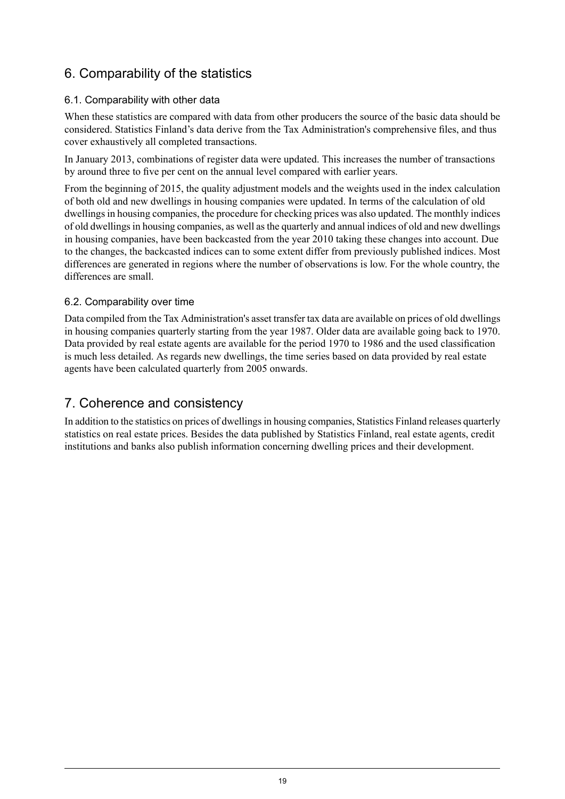## 6. Comparability of the statistics

## 6.1. Comparability with other data

When these statistics are compared with data from other producers the source of the basic data should be considered. Statistics Finland's data derive from the Tax Administration's comprehensive files, and thus cover exhaustively all completed transactions.

In January 2013, combinations of register data were updated. This increases the number of transactions by around three to five per cent on the annual level compared with earlier years.

From the beginning of 2015, the quality adjustment models and the weights used in the index calculation of both old and new dwellings in housing companies were updated. In terms of the calculation of old dwellings in housing companies, the procedure for checking prices was also updated. The monthly indices of old dwellingsin housing companies, as well asthe quarterly and annual indices of old and new dwellings in housing companies, have been backcasted from the year 2010 taking these changes into account. Due to the changes, the backcasted indices can to some extent differ from previously published indices. Most differences are generated in regions where the number of observations is low. For the whole country, the differences are small.

### 6.2. Comparability over time

Data compiled from the Tax Administration's asset transfer tax data are available on prices of old dwellings in housing companies quarterly starting from the year 1987. Older data are available going back to 1970. Data provided by real estate agents are available for the period 1970 to 1986 and the used classification is much less detailed. As regards new dwellings, the time series based on data provided by real estate agents have been calculated quarterly from 2005 onwards.

## 7. Coherence and consistency

In addition to the statistics on prices of dwellings in housing companies, Statistics Finland releases quarterly statistics on real estate prices. Besides the data published by Statistics Finland, real estate agents, credit institutions and banks also publish information concerning dwelling prices and their development.